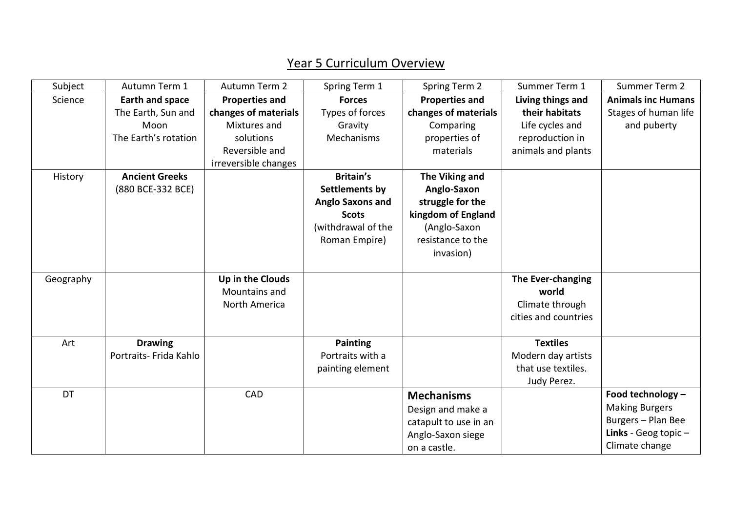## Year 5 Curriculum Overview

| Subject   | Autumn Term 1          | Autumn Term 2         | Spring Term 1           | Spring Term 2         | Summer Term 1        | Summer Term 2             |
|-----------|------------------------|-----------------------|-------------------------|-----------------------|----------------------|---------------------------|
| Science   | <b>Earth and space</b> | <b>Properties and</b> | <b>Forces</b>           | <b>Properties and</b> | Living things and    | <b>Animals inc Humans</b> |
|           | The Earth, Sun and     | changes of materials  | Types of forces         | changes of materials  | their habitats       | Stages of human life      |
|           | Moon                   | Mixtures and          | Gravity                 | Comparing             | Life cycles and      | and puberty               |
|           | The Earth's rotation   | solutions             | Mechanisms              | properties of         | reproduction in      |                           |
|           |                        | Reversible and        |                         | materials             | animals and plants   |                           |
|           |                        | irreversible changes  |                         |                       |                      |                           |
| History   | <b>Ancient Greeks</b>  |                       | <b>Britain's</b>        | The Viking and        |                      |                           |
|           | (880 BCE-332 BCE)      |                       | Settlements by          | Anglo-Saxon           |                      |                           |
|           |                        |                       | <b>Anglo Saxons and</b> | struggle for the      |                      |                           |
|           |                        |                       | <b>Scots</b>            | kingdom of England    |                      |                           |
|           |                        |                       | (withdrawal of the      | (Anglo-Saxon          |                      |                           |
|           |                        |                       | Roman Empire)           | resistance to the     |                      |                           |
|           |                        |                       |                         | invasion)             |                      |                           |
|           |                        |                       |                         |                       |                      |                           |
| Geography |                        | Up in the Clouds      |                         |                       | The Ever-changing    |                           |
|           |                        | Mountains and         |                         |                       | world                |                           |
|           |                        | North America         |                         |                       | Climate through      |                           |
|           |                        |                       |                         |                       | cities and countries |                           |
|           |                        |                       |                         |                       |                      |                           |
| Art       | <b>Drawing</b>         |                       | <b>Painting</b>         |                       | <b>Textiles</b>      |                           |
|           | Portraits- Frida Kahlo |                       | Portraits with a        |                       | Modern day artists   |                           |
|           |                        |                       | painting element        |                       | that use textiles.   |                           |
|           |                        |                       |                         |                       | Judy Perez.          |                           |
| DT        |                        | CAD                   |                         | <b>Mechanisms</b>     |                      | Food technology -         |
|           |                        |                       |                         | Design and make a     |                      | <b>Making Burgers</b>     |
|           |                        |                       |                         | catapult to use in an |                      | Burgers - Plan Bee        |
|           |                        |                       |                         | Anglo-Saxon siege     |                      | Links - Geog topic $-$    |
|           |                        |                       |                         | on a castle.          |                      | Climate change            |